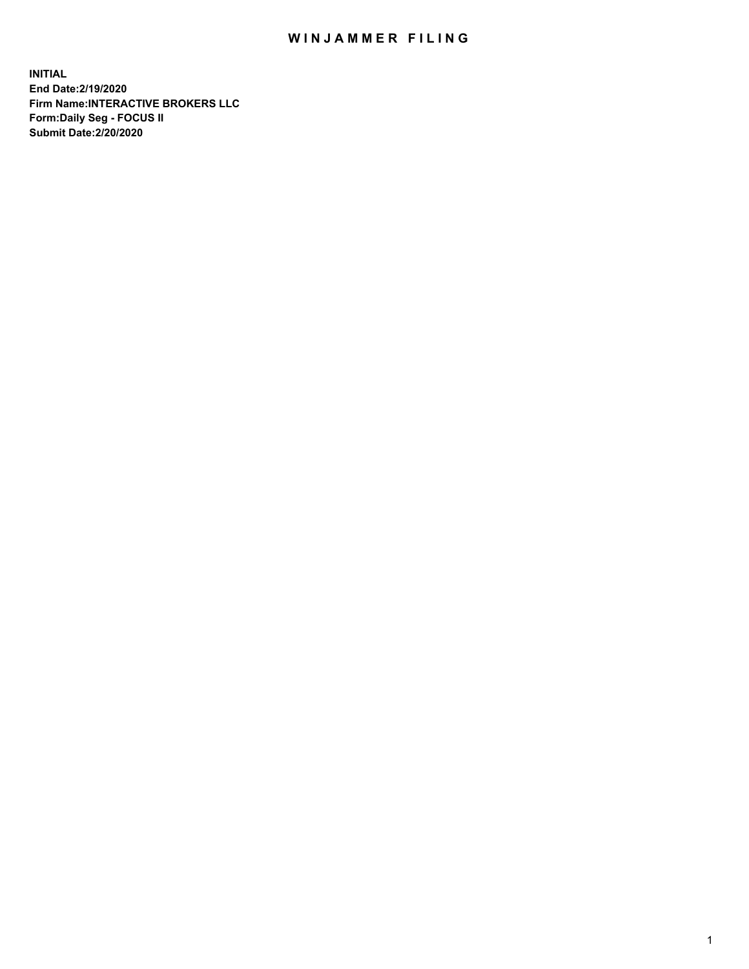## WIN JAMMER FILING

**INITIAL End Date:2/19/2020 Firm Name:INTERACTIVE BROKERS LLC Form:Daily Seg - FOCUS II Submit Date:2/20/2020**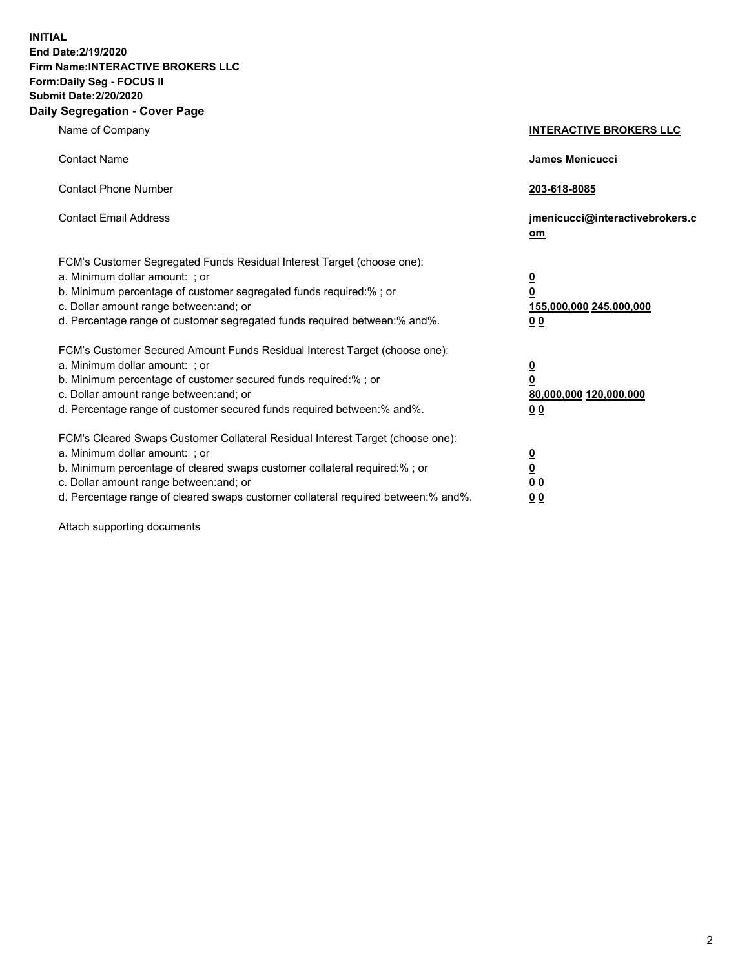**INITIAL End Date:2/19/2020 Firm Name:INTERACTIVE BROKERS LLC Form:Daily Seg - FOCUS II Submit Date:2/20/2020 Daily Segregation - Cover Page**

| Name of Company                                                                                                                                                                                                                                                                                                                | <b>INTERACTIVE BROKERS LLC</b>                                                                  |
|--------------------------------------------------------------------------------------------------------------------------------------------------------------------------------------------------------------------------------------------------------------------------------------------------------------------------------|-------------------------------------------------------------------------------------------------|
| <b>Contact Name</b>                                                                                                                                                                                                                                                                                                            | <b>James Menicucci</b>                                                                          |
| <b>Contact Phone Number</b>                                                                                                                                                                                                                                                                                                    | 203-618-8085                                                                                    |
| <b>Contact Email Address</b>                                                                                                                                                                                                                                                                                                   | jmenicucci@interactivebrokers.c<br>om                                                           |
| FCM's Customer Segregated Funds Residual Interest Target (choose one):<br>a. Minimum dollar amount: ; or<br>b. Minimum percentage of customer segregated funds required:% ; or<br>c. Dollar amount range between: and; or<br>d. Percentage range of customer segregated funds required between:% and%.                         | $\overline{\mathbf{0}}$<br>$\overline{\mathbf{0}}$<br>155,000,000 245,000,000<br>0 <sub>0</sub> |
| FCM's Customer Secured Amount Funds Residual Interest Target (choose one):<br>a. Minimum dollar amount: ; or<br>b. Minimum percentage of customer secured funds required:% ; or<br>c. Dollar amount range between: and; or<br>d. Percentage range of customer secured funds required between:% and%.                           | $\overline{\mathbf{0}}$<br>$\overline{\mathbf{0}}$<br>80,000,000 120,000,000<br>00              |
| FCM's Cleared Swaps Customer Collateral Residual Interest Target (choose one):<br>a. Minimum dollar amount: ; or<br>b. Minimum percentage of cleared swaps customer collateral required:% ; or<br>c. Dollar amount range between: and; or<br>d. Percentage range of cleared swaps customer collateral required between:% and%. | $\overline{\mathbf{0}}$<br>$\overline{\mathbf{0}}$<br>0 <sub>0</sub><br>0 <sub>0</sub>          |

Attach supporting documents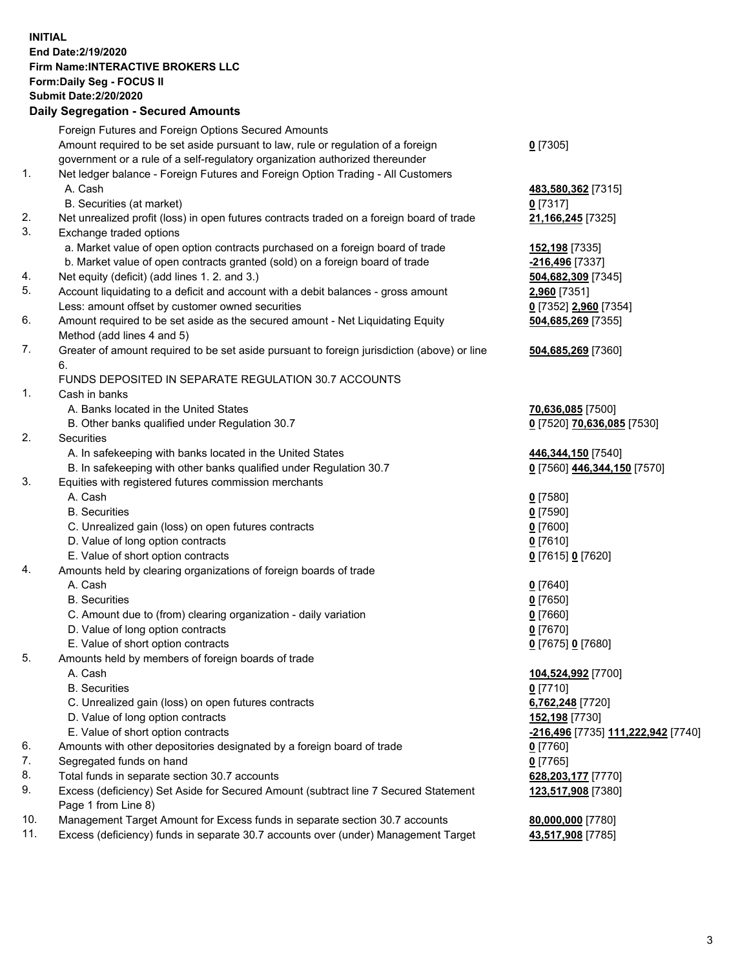**INITIAL End Date:2/19/2020 Firm Name:INTERACTIVE BROKERS LLC Form:Daily Seg - FOCUS II Submit Date:2/20/2020 Daily Segregation - Secured Amounts**

| Daily Ocglegation - Occured Anioants                                                        |                                                                                                                                                                                                                                                                                                                                                                                                                                                                                                                                                                                                                                                                                                                                                                                                                                                                                                                                                                                                                                                                                                                                                                                    |
|---------------------------------------------------------------------------------------------|------------------------------------------------------------------------------------------------------------------------------------------------------------------------------------------------------------------------------------------------------------------------------------------------------------------------------------------------------------------------------------------------------------------------------------------------------------------------------------------------------------------------------------------------------------------------------------------------------------------------------------------------------------------------------------------------------------------------------------------------------------------------------------------------------------------------------------------------------------------------------------------------------------------------------------------------------------------------------------------------------------------------------------------------------------------------------------------------------------------------------------------------------------------------------------|
| Foreign Futures and Foreign Options Secured Amounts                                         |                                                                                                                                                                                                                                                                                                                                                                                                                                                                                                                                                                                                                                                                                                                                                                                                                                                                                                                                                                                                                                                                                                                                                                                    |
| Amount required to be set aside pursuant to law, rule or regulation of a foreign            | $0$ [7305]                                                                                                                                                                                                                                                                                                                                                                                                                                                                                                                                                                                                                                                                                                                                                                                                                                                                                                                                                                                                                                                                                                                                                                         |
| government or a rule of a self-regulatory organization authorized thereunder                |                                                                                                                                                                                                                                                                                                                                                                                                                                                                                                                                                                                                                                                                                                                                                                                                                                                                                                                                                                                                                                                                                                                                                                                    |
| Net ledger balance - Foreign Futures and Foreign Option Trading - All Customers             |                                                                                                                                                                                                                                                                                                                                                                                                                                                                                                                                                                                                                                                                                                                                                                                                                                                                                                                                                                                                                                                                                                                                                                                    |
| A. Cash                                                                                     | 483,580,362 [7315]                                                                                                                                                                                                                                                                                                                                                                                                                                                                                                                                                                                                                                                                                                                                                                                                                                                                                                                                                                                                                                                                                                                                                                 |
| B. Securities (at market)                                                                   | $0$ [7317]                                                                                                                                                                                                                                                                                                                                                                                                                                                                                                                                                                                                                                                                                                                                                                                                                                                                                                                                                                                                                                                                                                                                                                         |
| Net unrealized profit (loss) in open futures contracts traded on a foreign board of trade   | 21,166,245 [7325]                                                                                                                                                                                                                                                                                                                                                                                                                                                                                                                                                                                                                                                                                                                                                                                                                                                                                                                                                                                                                                                                                                                                                                  |
| Exchange traded options                                                                     |                                                                                                                                                                                                                                                                                                                                                                                                                                                                                                                                                                                                                                                                                                                                                                                                                                                                                                                                                                                                                                                                                                                                                                                    |
| a. Market value of open option contracts purchased on a foreign board of trade              | 152,198 [7335]                                                                                                                                                                                                                                                                                                                                                                                                                                                                                                                                                                                                                                                                                                                                                                                                                                                                                                                                                                                                                                                                                                                                                                     |
| b. Market value of open contracts granted (sold) on a foreign board of trade                | $-216,496$ [7337]                                                                                                                                                                                                                                                                                                                                                                                                                                                                                                                                                                                                                                                                                                                                                                                                                                                                                                                                                                                                                                                                                                                                                                  |
| Net equity (deficit) (add lines 1.2. and 3.)                                                | 504,682,309 [7345]                                                                                                                                                                                                                                                                                                                                                                                                                                                                                                                                                                                                                                                                                                                                                                                                                                                                                                                                                                                                                                                                                                                                                                 |
| Account liquidating to a deficit and account with a debit balances - gross amount           | 2,960 [7351]                                                                                                                                                                                                                                                                                                                                                                                                                                                                                                                                                                                                                                                                                                                                                                                                                                                                                                                                                                                                                                                                                                                                                                       |
| Less: amount offset by customer owned securities                                            | 0 [7352] 2,960 [7354]                                                                                                                                                                                                                                                                                                                                                                                                                                                                                                                                                                                                                                                                                                                                                                                                                                                                                                                                                                                                                                                                                                                                                              |
| Amount required to be set aside as the secured amount - Net Liquidating Equity              | 504,685,269 [7355]                                                                                                                                                                                                                                                                                                                                                                                                                                                                                                                                                                                                                                                                                                                                                                                                                                                                                                                                                                                                                                                                                                                                                                 |
| Method (add lines 4 and 5)                                                                  |                                                                                                                                                                                                                                                                                                                                                                                                                                                                                                                                                                                                                                                                                                                                                                                                                                                                                                                                                                                                                                                                                                                                                                                    |
| Greater of amount required to be set aside pursuant to foreign jurisdiction (above) or line | 504,685,269 [7360]                                                                                                                                                                                                                                                                                                                                                                                                                                                                                                                                                                                                                                                                                                                                                                                                                                                                                                                                                                                                                                                                                                                                                                 |
| 6.                                                                                          |                                                                                                                                                                                                                                                                                                                                                                                                                                                                                                                                                                                                                                                                                                                                                                                                                                                                                                                                                                                                                                                                                                                                                                                    |
| FUNDS DEPOSITED IN SEPARATE REGULATION 30.7 ACCOUNTS                                        |                                                                                                                                                                                                                                                                                                                                                                                                                                                                                                                                                                                                                                                                                                                                                                                                                                                                                                                                                                                                                                                                                                                                                                                    |
| Cash in banks                                                                               |                                                                                                                                                                                                                                                                                                                                                                                                                                                                                                                                                                                                                                                                                                                                                                                                                                                                                                                                                                                                                                                                                                                                                                                    |
| A. Banks located in the United States                                                       | 70,636,085 [7500]                                                                                                                                                                                                                                                                                                                                                                                                                                                                                                                                                                                                                                                                                                                                                                                                                                                                                                                                                                                                                                                                                                                                                                  |
| B. Other banks qualified under Regulation 30.7                                              | 0 [7520] 70,636,085 [7530]                                                                                                                                                                                                                                                                                                                                                                                                                                                                                                                                                                                                                                                                                                                                                                                                                                                                                                                                                                                                                                                                                                                                                         |
| Securities                                                                                  |                                                                                                                                                                                                                                                                                                                                                                                                                                                                                                                                                                                                                                                                                                                                                                                                                                                                                                                                                                                                                                                                                                                                                                                    |
|                                                                                             | 446,344,150 [7540]                                                                                                                                                                                                                                                                                                                                                                                                                                                                                                                                                                                                                                                                                                                                                                                                                                                                                                                                                                                                                                                                                                                                                                 |
|                                                                                             | 0 [7560] 446,344,150 [7570]                                                                                                                                                                                                                                                                                                                                                                                                                                                                                                                                                                                                                                                                                                                                                                                                                                                                                                                                                                                                                                                                                                                                                        |
|                                                                                             |                                                                                                                                                                                                                                                                                                                                                                                                                                                                                                                                                                                                                                                                                                                                                                                                                                                                                                                                                                                                                                                                                                                                                                                    |
|                                                                                             | $0$ [7580]                                                                                                                                                                                                                                                                                                                                                                                                                                                                                                                                                                                                                                                                                                                                                                                                                                                                                                                                                                                                                                                                                                                                                                         |
|                                                                                             | $0$ [7590]                                                                                                                                                                                                                                                                                                                                                                                                                                                                                                                                                                                                                                                                                                                                                                                                                                                                                                                                                                                                                                                                                                                                                                         |
|                                                                                             | $0$ [7600]                                                                                                                                                                                                                                                                                                                                                                                                                                                                                                                                                                                                                                                                                                                                                                                                                                                                                                                                                                                                                                                                                                                                                                         |
|                                                                                             | $0$ [7610]                                                                                                                                                                                                                                                                                                                                                                                                                                                                                                                                                                                                                                                                                                                                                                                                                                                                                                                                                                                                                                                                                                                                                                         |
|                                                                                             | 0 [7615] 0 [7620]                                                                                                                                                                                                                                                                                                                                                                                                                                                                                                                                                                                                                                                                                                                                                                                                                                                                                                                                                                                                                                                                                                                                                                  |
|                                                                                             |                                                                                                                                                                                                                                                                                                                                                                                                                                                                                                                                                                                                                                                                                                                                                                                                                                                                                                                                                                                                                                                                                                                                                                                    |
|                                                                                             | $0$ [7640]                                                                                                                                                                                                                                                                                                                                                                                                                                                                                                                                                                                                                                                                                                                                                                                                                                                                                                                                                                                                                                                                                                                                                                         |
|                                                                                             | $0$ [7650]                                                                                                                                                                                                                                                                                                                                                                                                                                                                                                                                                                                                                                                                                                                                                                                                                                                                                                                                                                                                                                                                                                                                                                         |
|                                                                                             | $0$ [7660]                                                                                                                                                                                                                                                                                                                                                                                                                                                                                                                                                                                                                                                                                                                                                                                                                                                                                                                                                                                                                                                                                                                                                                         |
|                                                                                             | $0$ [7670]                                                                                                                                                                                                                                                                                                                                                                                                                                                                                                                                                                                                                                                                                                                                                                                                                                                                                                                                                                                                                                                                                                                                                                         |
|                                                                                             | 0 [7675] 0 [7680]                                                                                                                                                                                                                                                                                                                                                                                                                                                                                                                                                                                                                                                                                                                                                                                                                                                                                                                                                                                                                                                                                                                                                                  |
|                                                                                             |                                                                                                                                                                                                                                                                                                                                                                                                                                                                                                                                                                                                                                                                                                                                                                                                                                                                                                                                                                                                                                                                                                                                                                                    |
|                                                                                             | 104,524,992 [7700]                                                                                                                                                                                                                                                                                                                                                                                                                                                                                                                                                                                                                                                                                                                                                                                                                                                                                                                                                                                                                                                                                                                                                                 |
|                                                                                             | $0$ [7710]                                                                                                                                                                                                                                                                                                                                                                                                                                                                                                                                                                                                                                                                                                                                                                                                                                                                                                                                                                                                                                                                                                                                                                         |
|                                                                                             | 6,762,248 [7720]                                                                                                                                                                                                                                                                                                                                                                                                                                                                                                                                                                                                                                                                                                                                                                                                                                                                                                                                                                                                                                                                                                                                                                   |
|                                                                                             | 152,198 [7730]                                                                                                                                                                                                                                                                                                                                                                                                                                                                                                                                                                                                                                                                                                                                                                                                                                                                                                                                                                                                                                                                                                                                                                     |
|                                                                                             | <mark>-216,496</mark> [7735] 111,222,942 [7740]                                                                                                                                                                                                                                                                                                                                                                                                                                                                                                                                                                                                                                                                                                                                                                                                                                                                                                                                                                                                                                                                                                                                    |
|                                                                                             | 0 [7760]                                                                                                                                                                                                                                                                                                                                                                                                                                                                                                                                                                                                                                                                                                                                                                                                                                                                                                                                                                                                                                                                                                                                                                           |
|                                                                                             | $0$ [7765]                                                                                                                                                                                                                                                                                                                                                                                                                                                                                                                                                                                                                                                                                                                                                                                                                                                                                                                                                                                                                                                                                                                                                                         |
|                                                                                             | 628,203,177 [7770]                                                                                                                                                                                                                                                                                                                                                                                                                                                                                                                                                                                                                                                                                                                                                                                                                                                                                                                                                                                                                                                                                                                                                                 |
| Page 1 from Line 8)                                                                         | 123,517,908 [7380]                                                                                                                                                                                                                                                                                                                                                                                                                                                                                                                                                                                                                                                                                                                                                                                                                                                                                                                                                                                                                                                                                                                                                                 |
| Management Target Amount for Excess funds in separate section 30.7 accounts                 | 80,000,000 [7780]                                                                                                                                                                                                                                                                                                                                                                                                                                                                                                                                                                                                                                                                                                                                                                                                                                                                                                                                                                                                                                                                                                                                                                  |
|                                                                                             | 43,517,908 [7785]                                                                                                                                                                                                                                                                                                                                                                                                                                                                                                                                                                                                                                                                                                                                                                                                                                                                                                                                                                                                                                                                                                                                                                  |
|                                                                                             | A. In safekeeping with banks located in the United States<br>B. In safekeeping with other banks qualified under Regulation 30.7<br>Equities with registered futures commission merchants<br>A. Cash<br><b>B.</b> Securities<br>C. Unrealized gain (loss) on open futures contracts<br>D. Value of long option contracts<br>E. Value of short option contracts<br>Amounts held by clearing organizations of foreign boards of trade<br>A. Cash<br><b>B.</b> Securities<br>C. Amount due to (from) clearing organization - daily variation<br>D. Value of long option contracts<br>E. Value of short option contracts<br>Amounts held by members of foreign boards of trade<br>A. Cash<br><b>B.</b> Securities<br>C. Unrealized gain (loss) on open futures contracts<br>D. Value of long option contracts<br>E. Value of short option contracts<br>Amounts with other depositories designated by a foreign board of trade<br>Segregated funds on hand<br>Total funds in separate section 30.7 accounts<br>Excess (deficiency) Set Aside for Secured Amount (subtract line 7 Secured Statement<br>Excess (deficiency) funds in separate 30.7 accounts over (under) Management Target |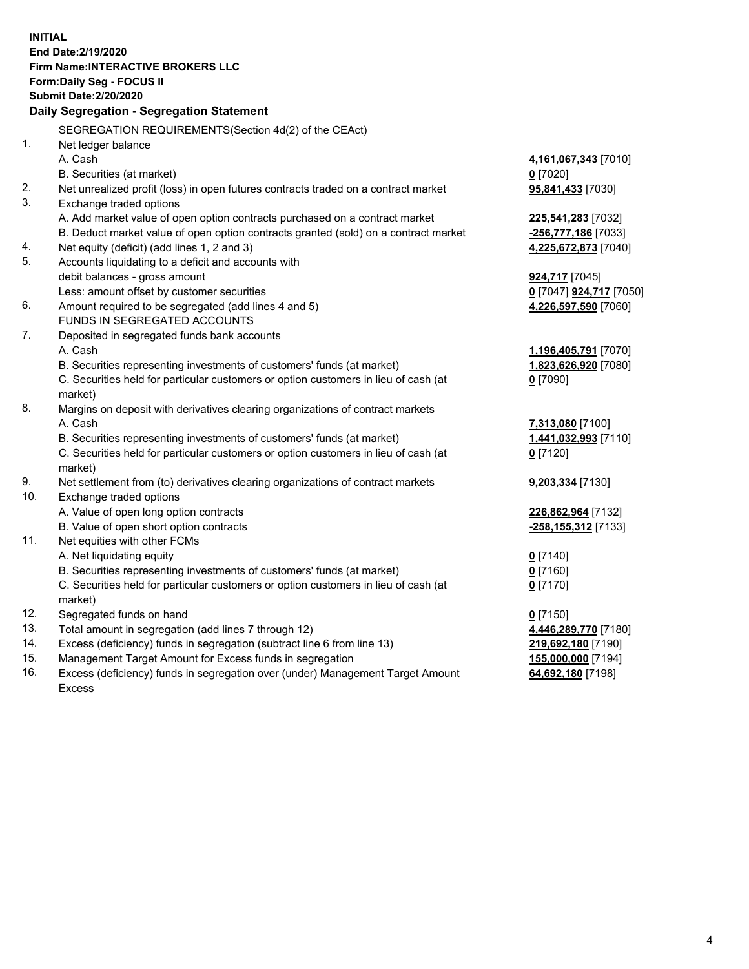**INITIAL End Date:2/19/2020 Firm Name:INTERACTIVE BROKERS LLC Form:Daily Seg - FOCUS II Submit Date:2/20/2020 Daily Segregation - Segregation Statement** SEGREGATION REQUIREMENTS(Section 4d(2) of the CEAct) 1. Net ledger balance A. Cash **4,161,067,343** [7010] B. Securities (at market) **0** [7020] 2. Net unrealized profit (loss) in open futures contracts traded on a contract market **95,841,433** [7030] 3. Exchange traded options A. Add market value of open option contracts purchased on a contract market **225,541,283** [7032] B. Deduct market value of open option contracts granted (sold) on a contract market **-256,777,186** [7033] 4. Net equity (deficit) (add lines 1, 2 and 3) **4,225,672,873** [7040] 5. Accounts liquidating to a deficit and accounts with debit balances - gross amount **924,717** [7045] Less: amount offset by customer securities **0** [7047] **924,717** [7050] 6. Amount required to be segregated (add lines 4 and 5) **4,226,597,590** [7060] FUNDS IN SEGREGATED ACCOUNTS 7. Deposited in segregated funds bank accounts A. Cash **1,196,405,791** [7070] B. Securities representing investments of customers' funds (at market) **1,823,626,920** [7080] C. Securities held for particular customers or option customers in lieu of cash (at market) **0** [7090] 8. Margins on deposit with derivatives clearing organizations of contract markets A. Cash **7,313,080** [7100] B. Securities representing investments of customers' funds (at market) **1,441,032,993** [7110] C. Securities held for particular customers or option customers in lieu of cash (at market) **0** [7120] 9. Net settlement from (to) derivatives clearing organizations of contract markets **9,203,334** [7130] 10. Exchange traded options A. Value of open long option contracts **226,862,964** [7132] B. Value of open short option contracts **-258,155,312** [7133] 11. Net equities with other FCMs A. Net liquidating equity **0** [7140] B. Securities representing investments of customers' funds (at market) **0** [7160] C. Securities held for particular customers or option customers in lieu of cash (at market) **0** [7170] 12. Segregated funds on hand **0** [7150] 13. Total amount in segregation (add lines 7 through 12) **4,446,289,770** [7180] 14. Excess (deficiency) funds in segregation (subtract line 6 from line 13) **219,692,180** [7190] 15. Management Target Amount for Excess funds in segregation **155,000,000** [7194] **64,692,180** [7198]

16. Excess (deficiency) funds in segregation over (under) Management Target Amount Excess